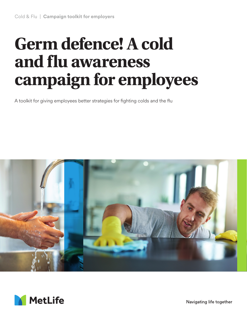# **Germ defence! A cold and flu awareness campaign for employees**

A toolkit for giving employees better strategies for fighting colds and the flu





Navigating life together